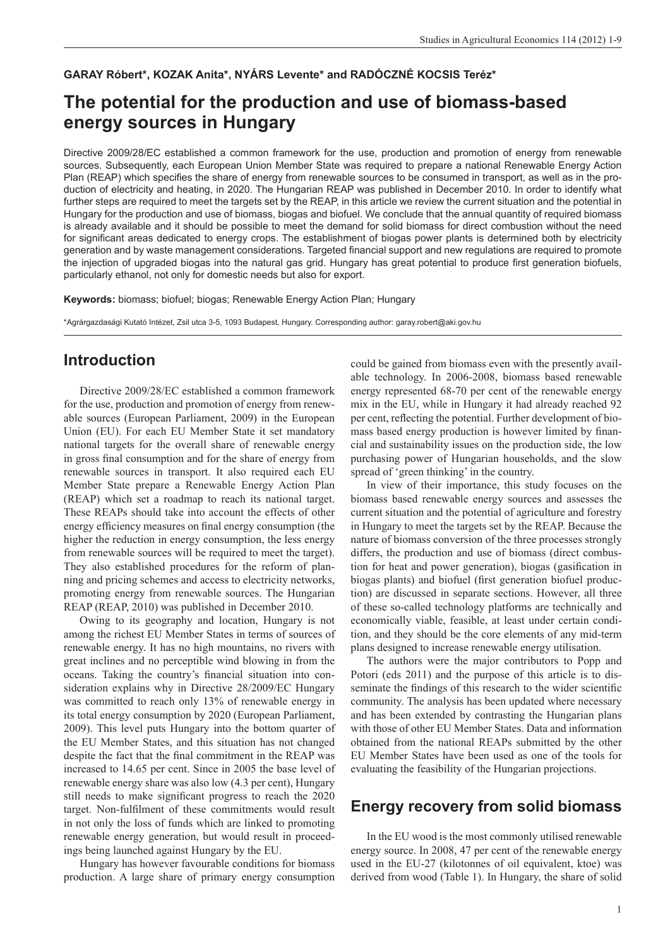#### **GARAY Róbert\*, KOZAK Anita\*, NYÁRS Levente\* and RADÓCZNÉ KOCSIS Teréz\***

# **The potential for the production and use of biomass-based energy sources in Hungary**

Directive 2009/28/EC established a common framework for the use, production and promotion of energy from renewable sources. Subsequently, each European Union Member State was required to prepare a national Renewable Energy Action Plan (REAP) which specifies the share of energy from renewable sources to be consumed in transport, as well as in the production of electricity and heating, in 2020. The Hungarian REAP was published in December 2010. In order to identify what further steps are required to meet the targets set by the REAP, in this article we review the current situation and the potential in Hungary for the production and use of biomass, biogas and biofuel. We conclude that the annual quantity of required biomass is already available and it should be possible to meet the demand for solid biomass for direct combustion without the need for significant areas dedicated to energy crops. The establishment of biogas power plants is determined both by electricity generation and by waste management considerations. Targeted financial support and new regulations are required to promote the injection of upgraded biogas into the natural gas grid. Hungary has great potential to produce first generation biofuels, particularly ethanol, not only for domestic needs but also for export.

**Keywords:** biomass; biofuel; biogas; Renewable Energy Action Plan; Hungary

\*Agrárgazdasági Kutató Intézet, Zsil utca 3-5, 1093 Budapest, Hungary. Corresponding author: garay.robert@aki.gov.hu

### **Introduction**

Directive 2009/28/EC established a common framework for the use, production and promotion of energy from renewable sources (European Parliament, 2009) in the European Union (EU). For each EU Member State it set mandatory national targets for the overall share of renewable energy in gross final consumption and for the share of energy from renewable sources in transport. It also required each EU Member State prepare a Renewable Energy Action Plan (REAP) which set a roadmap to reach its national target. These REAPs should take into account the effects of other energy efficiency measures on final energy consumption (the higher the reduction in energy consumption, the less energy from renewable sources will be required to meet the target). They also established procedures for the reform of planning and pricing schemes and access to electricity networks, promoting energy from renewable sources. The Hungarian REAP (REAP, 2010) was published in December 2010.

Owing to its geography and location, Hungary is not among the richest EU Member States in terms of sources of renewable energy. It has no high mountains, no rivers with great inclines and no perceptible wind blowing in from the oceans. Taking the country's financial situation into consideration explains why in Directive 28/2009/EC Hungary was committed to reach only 13% of renewable energy in its total energy consumption by 2020 (European Parliament, 2009). This level puts Hungary into the bottom quarter of the EU Member States, and this situation has not changed despite the fact that the final commitment in the REAP was increased to 14.65 per cent. Since in 2005 the base level of renewable energy share was also low (4.3 per cent), Hungary still needs to make significant progress to reach the 2020 target. Non-fulfilment of these commitments would result in not only the loss of funds which are linked to promoting renewable energy generation, but would result in proceedings being launched against Hungary by the EU.

Hungary has however favourable conditions for biomass production. A large share of primary energy consumption could be gained from biomass even with the presently available technology. In 2006-2008, biomass based renewable energy represented 68-70 per cent of the renewable energy mix in the EU, while in Hungary it had already reached 92 per cent, reflecting the potential. Further development of biomass based energy production is however limited by financial and sustainability issues on the production side, the low purchasing power of Hungarian households, and the slow spread of 'green thinking' in the country.

In view of their importance, this study focuses on the biomass based renewable energy sources and assesses the current situation and the potential of agriculture and forestry in Hungary to meet the targets set by the REAP. Because the nature of biomass conversion of the three processes strongly differs, the production and use of biomass (direct combustion for heat and power generation), biogas (gasification in biogas plants) and biofuel (first generation biofuel production) are discussed in separate sections. However, all three of these so-called technology platforms are technically and economically viable, feasible, at least under certain condition, and they should be the core elements of any mid-term plans designed to increase renewable energy utilisation.

The authors were the major contributors to Popp and Potori (eds 2011) and the purpose of this article is to disseminate the findings of this research to the wider scientific community. The analysis has been updated where necessary and has been extended by contrasting the Hungarian plans with those of other EU Member States. Data and information obtained from the national REAPs submitted by the other EU Member States have been used as one of the tools for evaluating the feasibility of the Hungarian projections.

### **Energy recovery from solid biomass**

In the EU wood is the most commonly utilised renewable energy source. In 2008, 47 per cent of the renewable energy used in the EU-27 (kilotonnes of oil equivalent, ktoe) was derived from wood (Table 1). In Hungary, the share of solid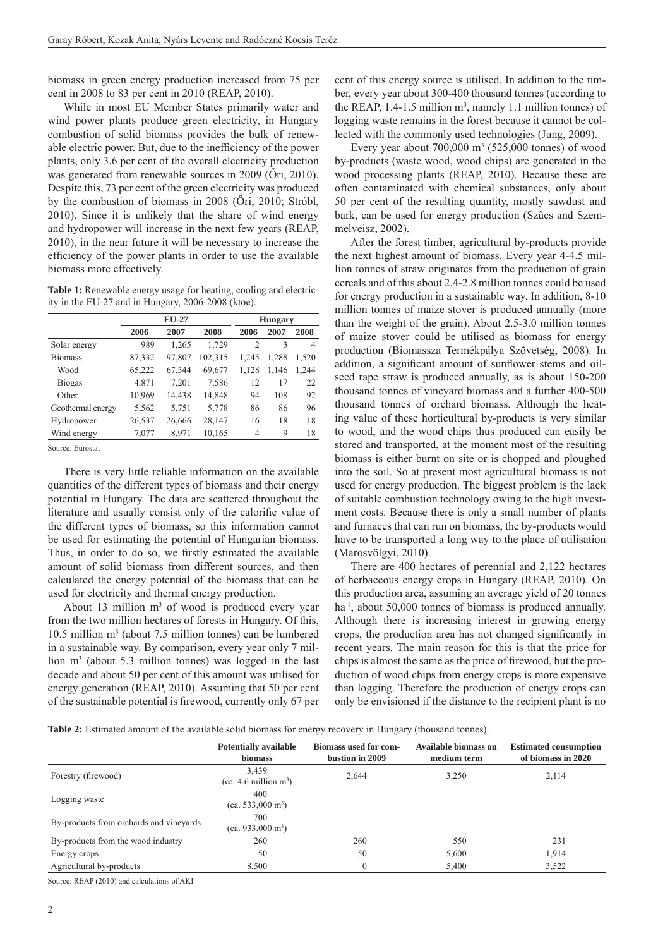biomass in green energy production increased from 75 per cent in 2008 to 83 per cent in 2010 (REAP, 2010).

While in most EU Member States primarily water and wind power plants produce green electricity, in Hungary combustion of solid biomass provides the bulk of renewable electric power. But, due to the inefficiency of the power plants, only 3.6 per cent of the overall electricity production was generated from renewable sources in 2009 (Őri, 2010). Despite this, 73 per cent of the green electricity was produced by the combustion of biomass in 2008 (Őri, 2010; Stróbl, 2010). Since it is unlikely that the share of wind energy and hydropower will increase in the next few years (REAP, 2010), in the near future it will be necessary to increase the efficiency of the power plants in order to use the available biomass more effectively.

Table 1: Renewable energy usage for heating, cooling and electricity in the EU-27 and in Hungary, 2006-2008 (ktoe).

|                   |        | <b>EU-27</b> | <b>Hungary</b> |                |       |                |
|-------------------|--------|--------------|----------------|----------------|-------|----------------|
|                   | 2006   | 2007         | 2008           | 2006           | 2007  | 2008           |
| Solar energy      | 989    | 1,265        | 1,729          | $\overline{c}$ | 3     | $\overline{4}$ |
| <b>Biomass</b>    | 87,332 | 97,807       | 102,315        | 1.245          | 1,288 | 1,520          |
| Wood              | 65,222 | 67,344       | 69,677         | 1,128          | 1,146 | 1,244          |
| <b>Biogas</b>     | 4,871  | 7,201        | 7,586          | 12.            | 17    | 22             |
| Other             | 10,969 | 14,438       | 14,848         | 94             | 108   | 92             |
| Geothermal energy | 5,562  | 5,751        | 5,778          | 86             | 86    | 96             |
| Hydropower        | 26,537 | 26,666       | 28,147         | 16             | 18    | 18             |
| Wind energy       | 7,077  | 8,971        | 10,165         | 4              | 9     | 18             |

Source: Eurostat

There is very little reliable information on the available quantities of the different types of biomass and their energy potential in Hungary. The data are scattered throughout the literature and usually consist only of the calorific value of the different types of biomass, so this information cannot be used for estimating the potential of Hungarian biomass. Thus, in order to do so, we firstly estimated the available amount of solid biomass from different sources, and then calculated the energy potential of the biomass that can be used for electricity and thermal energy production.

About 13 million  $m<sup>3</sup>$  of wood is produced every year from the two million hectares of forests in Hungary. Of this, 10.5 million m3 (about 7.5 million tonnes) can be lumbered in a sustainable way. By comparison, every year only 7 million  $m<sup>3</sup>$  (about 5.3 million tonnes) was logged in the last decade and about 50 per cent of this amount was utilised for energy generation (REAP, 2010). Assuming that 50 per cent of the sustainable potential is firewood, currently only 67 per

cent of this energy source is utilised. In addition to the timber, every year about 300-400 thousand tonnes (according to the REAP,  $1.4$ -1.5 million m<sup>3</sup>, namely 1.1 million tonnes) of logging waste remains in the forest because it cannot be collected with the commonly used technologies (Jung, 2009).

Every year about  $700,000 \text{ m}^3$  (525,000 tonnes) of wood by-products (waste wood, wood chips) are generated in the wood processing plants (REAP, 2010). Because these are often contaminated with chemical substances, only about 50 per cent of the resulting quantity, mostly sawdust and bark, can be used for energy production (Szűcs and Szemmelveisz, 2002).

After the forest timber, agricultural by-products provide the next highest amount of biomass. Every year 4-4.5 million tonnes of straw originates from the production of grain cereals and of this about 2.4-2.8 million tonnes could be used for energy production in a sustainable way. In addition, 8-10 million tonnes of maize stover is produced annually (more than the weight of the grain). About 2.5-3.0 million tonnes of maize stover could be utilised as biomass for energy production (Biomassza Termékpálya Szövetség, 2008). In addition, a significant amount of sunflower stems and oilseed rape straw is produced annually, as is about 150-200 thousand tonnes of vineyard biomass and a further 400-500 thousand tonnes of orchard biomass. Although the heating value of these horticultural by-products is very similar to wood, and the wood chips thus produced can easily be stored and transported, at the moment most of the resulting biomass is either burnt on site or is chopped and ploughed into the soil. So at present most agricultural biomass is not used for energy production. The biggest problem is the lack of suitable combustion technology owing to the high investment costs. Because there is only a small number of plants and furnaces that can run on biomass, the by-products would have to be transported a long way to the place of utilisation (Marosvölgyi, 2010).

There are 400 hectares of perennial and 2,122 hectares of herbaceous energy crops in Hungary (REAP, 2010). On this production area, assuming an average yield of 20 tonnes ha<sup>-1</sup>, about 50,000 tonnes of biomass is produced annually. Although there is increasing interest in growing energy crops, the production area has not changed significantly in recent years. The main reason for this is that the price for chips is almost the same as the price of firewood, but the production of wood chips from energy crops is more expensive than logging. Therefore the production of energy crops can only be envisioned if the distance to the recipient plant is no

**Table 2:** Estimated amount of the available solid biomass for energy recovery in Hungary (thousand tonnes).

|                                         | <b>Potentially available</b><br>biomass    | <b>Biomass used for com-</b><br>bustion in 2009 | <b>Available biomass on</b><br>medium term | <b>Estimated consumption</b><br>of biomass in 2020 |
|-----------------------------------------|--------------------------------------------|-------------------------------------------------|--------------------------------------------|----------------------------------------------------|
| Forestry (firewood)                     | 3.439<br>(ca. 4.6 million m <sup>3</sup> ) | 2,644                                           | 3,250                                      | 2,114                                              |
| Logging waste                           | 400<br>(ca. 533,000 m <sup>3</sup> )       |                                                 |                                            |                                                    |
| By-products from orchards and vineyards | 700<br>(ca. 933,000 m <sup>3</sup> )       |                                                 |                                            |                                                    |
| By-products from the wood industry      | 260                                        | 260                                             | 550                                        | 231                                                |
| Energy crops                            | 50                                         | 50                                              | 5,600                                      | 1,914                                              |
| Agricultural by-products                | 8,500                                      | $\theta$                                        | 5,400                                      | 3,522                                              |

Source: REAP (2010) and calculations of AKI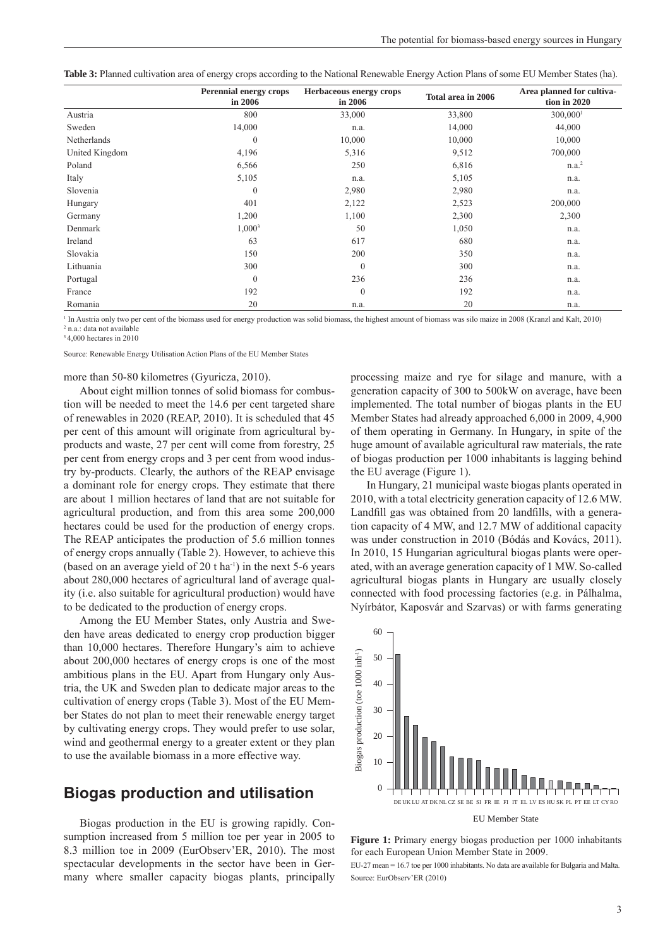**Table 3:** Planned cultivation area of energy crops according to the National Renewable Energy Action Plans of some EU Member States (ha).

|                | Perennial energy crops<br>in $2006$ | Herbaceous energy crops<br>in 2006 | Total area in 2006 | Area planned for cultiva-<br>tion in 2020 |
|----------------|-------------------------------------|------------------------------------|--------------------|-------------------------------------------|
| Austria        | 800                                 | 33,000                             | 33,800             | $300,000$ <sup>1</sup>                    |
| Sweden         | 14,000                              | n.a.                               | 14,000             | 44,000                                    |
| Netherlands    | $\mathbf{0}$                        | 10,000                             | 10,000             | 10,000                                    |
| United Kingdom | 4,196                               | 5,316                              | 9,512              | 700,000                                   |
| Poland         | 6,566                               | 250                                | 6,816              | n.a. <sup>2</sup>                         |
| Italy          | 5,105                               | n.a.                               | 5,105              | n.a.                                      |
| Slovenia       | $\mathbf{0}$                        | 2,980                              | 2,980              | n.a.                                      |
| Hungary        | 401                                 | 2,122                              | 2,523              | 200,000                                   |
| Germany        | 1,200                               | 1,100                              | 2,300              | 2,300                                     |
| Denmark        | $1,000^3$                           | 50                                 | 1,050              | n.a.                                      |
| Ireland        | 63                                  | 617                                | 680                | n.a.                                      |
| Slovakia       | 150                                 | 200                                | 350                | n.a.                                      |
| Lithuania      | 300                                 | $\mathbf{0}$                       | 300                | n.a.                                      |
| Portugal       | $\mathbf{0}$                        | 236                                | 236                | n.a.                                      |
| France         | 192                                 | $\mathbf{0}$                       | 192                | n.a.                                      |
| Romania        | 20                                  | n.a.                               | 20                 | n.a.                                      |

<sup>1</sup> In Austria only two per cent of the biomass used for energy production was solid biomass, the highest amount of biomass was silo maize in 2008 (Kranzl and Kalt, 2010) 2 n.a.: data not available

3 4,000 hectares in 2010

Source: Renewable Energy Utilisation Action Plans of the EU Member States

#### more than 50-80 kilometres (Gyuricza, 2010).

About eight million tonnes of solid biomass for combustion will be needed to meet the 14.6 per cent targeted share of renewables in 2020 (REAP, 2010). It is scheduled that 45 per cent of this amount will originate from agricultural byproducts and waste, 27 per cent will come from forestry, 25 per cent from energy crops and 3 per cent from wood industry by-products. Clearly, the authors of the REAP envisage a dominant role for energy crops. They estimate that there are about 1 million hectares of land that are not suitable for agricultural production, and from this area some 200,000 hectares could be used for the production of energy crops. The REAP anticipates the production of 5.6 million tonnes of energy crops annually (Table 2). However, to achieve this (based on an average yield of  $20$  t ha<sup>-1</sup>) in the next 5-6 years about 280,000 hectares of agricultural land of average quality (i.e. also suitable for agricultural production) would have to be dedicated to the production of energy crops.

Among the EU Member States, only Austria and Sweden have areas dedicated to energy crop production bigger than 10,000 hectares. Therefore Hungary's aim to achieve about 200,000 hectares of energy crops is one of the most ambitious plans in the EU. Apart from Hungary only Austria, the UK and Sweden plan to dedicate major areas to the cultivation of energy crops (Table 3). Most of the EU Member States do not plan to meet their renewable energy target by cultivating energy crops. They would prefer to use solar, wind and geothermal energy to a greater extent or they plan to use the available biomass in a more effective way.

### **Biogas production and utilisation**

Biogas production in the EU is growing rapidly. Consumption increased from 5 million toe per year in 2005 to 8.3 million toe in 2009 (EurObserv'ER, 2010). The most spectacular developments in the sector have been in Germany where smaller capacity biogas plants, principally processing maize and rye for silage and manure, with a generation capacity of 300 to 500kW on average, have been implemented. The total number of biogas plants in the EU Member States had already approached 6,000 in 2009, 4,900 of them operating in Germany. In Hungary, in spite of the huge amount of available agricultural raw materials, the rate of biogas production per 1000 inhabitants is lagging behind the EU average (Figure 1).

In Hungary, 21 municipal waste biogas plants operated in 2010, with a total electricity generation capacity of 12.6 MW. Landfill gas was obtained from 20 landfills, with a generation capacity of 4 MW, and 12.7 MW of additional capacity was under construction in 2010 (Bódás and Kovács, 2011). In 2010, 15 Hungarian agricultural biogas plants were operated, with an average generation capacity of 1 MW. So-called agricultural biogas plants in Hungary are usually closely connected with food processing factories (e.g. in Pálhalma, Nyírbátor, Kaposvár and Szarvas) or with farms generating

60 Biogas production (toe 1000 inh<sup>-1</sup>) Biogas production (toe 1000 inh-1) 50 40 30 20 10  $\Omega$ DE UK LU AT DK NL CZ SE BE SI FR IE FI IT EL LV ES HU SK PL PT EE LT CY RO EU Member State

**Figure 1:** Primary energy biogas production per 1000 inhabitants for each European Union Member State in 2009.

EU-27 mean = 16.7 toe per 1000 inhabitants. No data are available for Bulgaria and Malta. Source: EurObserv'ER (2010)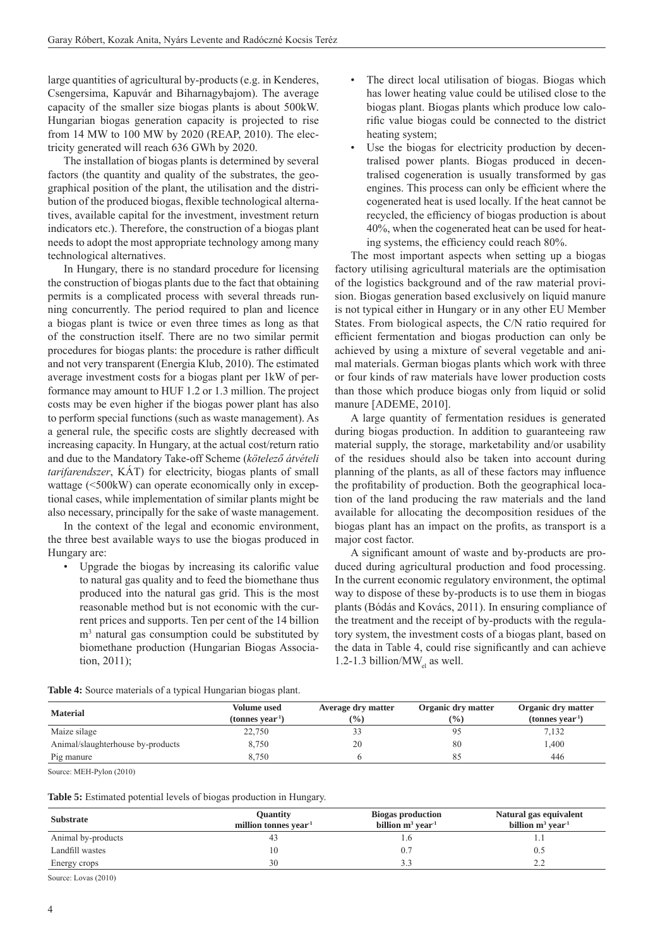large quantities of agricultural by-products (e.g. in Kenderes, Csengersima, Kapuvár and Biharnagybajom). The average capacity of the smaller size biogas plants is about 500kW. Hungarian biogas generation capacity is projected to rise from 14 MW to 100 MW by 2020 (REAP, 2010). The electricity generated will reach 636 GWh by 2020.

The installation of biogas plants is determined by several factors (the quantity and quality of the substrates, the geographical position of the plant, the utilisation and the distribution of the produced biogas, flexible technological alternatives, available capital for the investment, investment return indicators etc.). Therefore, the construction of a biogas plant needs to adopt the most appropriate technology among many technological alternatives.

In Hungary, there is no standard procedure for licensing the construction of biogas plants due to the fact that obtaining permits is a complicated process with several threads running concurrently. The period required to plan and licence a biogas plant is twice or even three times as long as that of the construction itself. There are no two similar permit procedures for biogas plants: the procedure is rather difficult and not very transparent (Energia Klub, 2010). The estimated average investment costs for a biogas plant per 1kW of performance may amount to HUF 1.2 or 1.3 million. The project costs may be even higher if the biogas power plant has also to perform special functions (such as waste management). As a general rule, the specific costs are slightly decreased with increasing capacity. In Hungary, at the actual cost/return ratio and due to the Mandatory Take-off Scheme (*kötelező átvételi tarifarendszer*, KÁT) for electricity, biogas plants of small wattage (<500kW) can operate economically only in exceptional cases, while implementation of similar plants might be also necessary, principally for the sake of waste management.

In the context of the legal and economic environment, the three best available ways to use the biogas produced in Hungary are:

• Upgrade the biogas by increasing its calorific value to natural gas quality and to feed the biomethane thus produced into the natural gas grid. This is the most reasonable method but is not economic with the current prices and supports. Ten per cent of the 14 billion m<sup>3</sup> natural gas consumption could be substituted by biomethane production (Hungarian Biogas Association, 2011);

- The direct local utilisation of biogas. Biogas which has lower heating value could be utilised close to the biogas plant. Biogas plants which produce low calorific value biogas could be connected to the district heating system;
- Use the biogas for electricity production by decentralised power plants. Biogas produced in decentralised cogeneration is usually transformed by gas engines. This process can only be efficient where the cogenerated heat is used locally. If the heat cannot be recycled, the efficiency of biogas production is about 40%, when the cogenerated heat can be used for heating systems, the efficiency could reach 80%.

The most important aspects when setting up a biogas factory utilising agricultural materials are the optimisation of the logistics background and of the raw material provision. Biogas generation based exclusively on liquid manure is not typical either in Hungary or in any other EU Member States. From biological aspects, the C/N ratio required for efficient fermentation and biogas production can only be achieved by using a mixture of several vegetable and animal materials. German biogas plants which work with three or four kinds of raw materials have lower production costs than those which produce biogas only from liquid or solid manure [ADEME, 2010].

A large quantity of fermentation residues is generated during biogas production. In addition to guaranteeing raw material supply, the storage, marketability and/or usability of the residues should also be taken into account during planning of the plants, as all of these factors may influence the profitability of production. Both the geographical location of the land producing the raw materials and the land available for allocating the decomposition residues of the biogas plant has an impact on the profits, as transport is a major cost factor.

A significant amount of waste and by-products are produced during agricultural production and food processing. In the current economic regulatory environment, the optimal way to dispose of these by-products is to use them in biogas plants (Bódás and Kovács, 2011). In ensuring compliance of the treatment and the receipt of by-products with the regulatory system, the investment costs of a biogas plant, based on the data in Table 4, could rise significantly and can achieve 1.2-1.3 billion/ $MW_{el}$  as well.

|  |  |  | <b>Table 4:</b> Source materials of a typical Hungarian biogas plant. |  |
|--|--|--|-----------------------------------------------------------------------|--|
|  |  |  |                                                                       |  |

| <b>Material</b>                   | <b>Volume</b> used<br>(tonnes year <sup>1</sup> ) | Average dry matter<br>$\frac{9}{0}$ | Organic dry matter<br>$\frac{9}{6}$ | Organic dry matter<br>(tonnes year <sup>1</sup> ) |
|-----------------------------------|---------------------------------------------------|-------------------------------------|-------------------------------------|---------------------------------------------------|
| Maize silage                      | 22,750                                            |                                     |                                     | 7,132                                             |
| Animal/slaughterhouse by-products | 8,750                                             | 20                                  | 80                                  | 1,400                                             |
| Pig manure                        | 8.750                                             |                                     |                                     | 446                                               |

Source: MEH-Pylon (2010)

| Table 5: Estimated potential levels of biogas production in Hungary. |  |  |  |  |
|----------------------------------------------------------------------|--|--|--|--|
|----------------------------------------------------------------------|--|--|--|--|

| <b>Substrate</b>   | <b>Quantity</b><br>million tonnes year <sup>1</sup> | <b>Biogas production</b><br>billion $m^3$ year <sup>1</sup> | Natural gas equivalent<br>billion $m^3$ year <sup>1</sup> |  |
|--------------------|-----------------------------------------------------|-------------------------------------------------------------|-----------------------------------------------------------|--|
| Animal by-products | 43                                                  |                                                             |                                                           |  |
| Landfill wastes    | 10                                                  | 0.7                                                         | 0.5                                                       |  |
| Energy crops       | 30                                                  | 3.3                                                         | 4.A                                                       |  |

Source: Lovas (2010)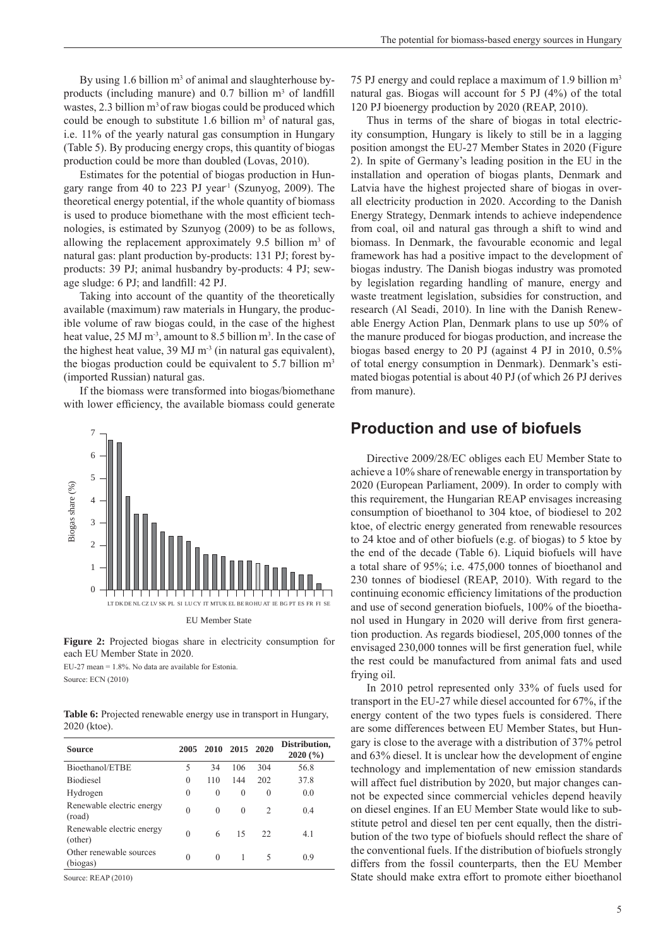By using 1.6 billion  $m<sup>3</sup>$  of animal and slaughterhouse byproducts (including manure) and  $0.7$  billion  $m<sup>3</sup>$  of landfill wastes,  $2.3$  billion  $m<sup>3</sup>$  of raw biogas could be produced which could be enough to substitute 1.6 billion  $m<sup>3</sup>$  of natural gas, i.e. 11% of the yearly natural gas consumption in Hungary (Table 5). By producing energy crops, this quantity of biogas production could be more than doubled (Lovas, 2010).

Estimates for the potential of biogas production in Hungary range from 40 to 223 PJ year<sup>1</sup> (Szunyog, 2009). The theoretical energy potential, if the whole quantity of biomass is used to produce biomethane with the most efficient technologies, is estimated by Szunyog (2009) to be as follows, allowing the replacement approximately 9.5 billion  $m<sup>3</sup>$  of natural gas: plant production by-products: 131 PJ; forest byproducts: 39 PJ; animal husbandry by-products: 4 PJ; sewage sludge: 6 PJ; and landfill: 42 PJ.

Taking into account of the quantity of the theoretically available (maximum) raw materials in Hungary, the producible volume of raw biogas could, in the case of the highest heat value,  $25 \text{ MJ m}^3$ , amount to 8.5 billion  $\text{m}^3$ . In the case of the highest heat value,  $39 \text{ MJ m}^3$  (in natural gas equivalent), the biogas production could be equivalent to  $5.7$  billion m<sup>3</sup> (imported Russian) natural gas.

If the biomass were transformed into biogas/biomethane with lower efficiency, the available biomass could generate



**Figure 2:** Projected biogas share in electricity consumption for each EU Member State in 2020.

EU-27 mean = 1.8%. No data are available for Estonia. Source: ECN (2010)

**Table 6:** Projected renewable energy use in transport in Hungary, 2020 (ktoe).

| Source                               |          | 2005 2010 2015 2020 |          |                          | Distribution,<br>2020(%) |
|--------------------------------------|----------|---------------------|----------|--------------------------|--------------------------|
| Bioethanol/ETBE                      | 5        | 34                  | 106      | 304                      | 56.8                     |
| <b>Biodiesel</b>                     | 0        | 110                 | 144      | 202                      | 37.8                     |
| Hydrogen                             | 0        | $\theta$            | $\theta$ | $\theta$                 | 0.0                      |
| Renewable electric energy<br>(road)  | $\theta$ | $\Omega$            | $\Omega$ | $\mathfrak{D}_{1}^{(1)}$ | 0.4                      |
| Renewable electric energy<br>(other) | $\theta$ | 6                   | 15       | 22                       | 4.1                      |
| Other renewable sources<br>(biogas)  | $\theta$ | $\Omega$            |          | 5                        | 0.9                      |

Source: REAP (2010)

75 PJ energy and could replace a maximum of 1.9 billion m3 natural gas. Biogas will account for 5 PJ (4%) of the total 120 PJ bioenergy production by 2020 (REAP, 2010).

Thus in terms of the share of biogas in total electricity consumption, Hungary is likely to still be in a lagging position amongst the EU-27 Member States in 2020 (Figure 2). In spite of Germany's leading position in the EU in the installation and operation of biogas plants, Denmark and Latvia have the highest projected share of biogas in overall electricity production in 2020. According to the Danish Energy Strategy, Denmark intends to achieve independence from coal, oil and natural gas through a shift to wind and biomass. In Denmark, the favourable economic and legal framework has had a positive impact to the development of biogas industry. The Danish biogas industry was promoted by legislation regarding handling of manure, energy and waste treatment legislation, subsidies for construction, and research (Al Seadi, 2010). In line with the Danish Renewable Energy Action Plan, Denmark plans to use up 50% of the manure produced for biogas production, and increase the biogas based energy to 20 PJ (against 4 PJ in 2010, 0.5% of total energy consumption in Denmark). Denmark's estimated biogas potential is about 40 PJ (of which 26 PJ derives from manure).

### **Production and use of biofuels**

Directive 2009/28/EC obliges each EU Member State to achieve a 10% share of renewable energy in transportation by 2020 (European Parliament, 2009). In order to comply with this requirement, the Hungarian REAP envisages increasing consumption of bioethanol to 304 ktoe, of biodiesel to 202 ktoe, of electric energy generated from renewable resources to 24 ktoe and of other biofuels (e.g. of biogas) to 5 ktoe by the end of the decade (Table 6). Liquid biofuels will have a total share of 95%; i.e. 475,000 tonnes of bioethanol and 230 tonnes of biodiesel (REAP, 2010). With regard to the continuing economic efficiency limitations of the production and use of second generation biofuels, 100% of the bioethanol used in Hungary in 2020 will derive from first generation production. As regards biodiesel, 205,000 tonnes of the envisaged 230,000 tonnes will be first generation fuel, while the rest could be manufactured from animal fats and used frying oil.

In 2010 petrol represented only 33% of fuels used for transport in the EU-27 while diesel accounted for 67%, if the energy content of the two types fuels is considered. There are some differences between EU Member States, but Hungary is close to the average with a distribution of 37% petrol and 63% diesel. It is unclear how the development of engine technology and implementation of new emission standards will affect fuel distribution by 2020, but major changes cannot be expected since commercial vehicles depend heavily on diesel engines. If an EU Member State would like to substitute petrol and diesel ten per cent equally, then the distribution of the two type of biofuels should reflect the share of the conventional fuels. If the distribution of biofuels strongly differs from the fossil counterparts, then the EU Member State should make extra effort to promote either bioethanol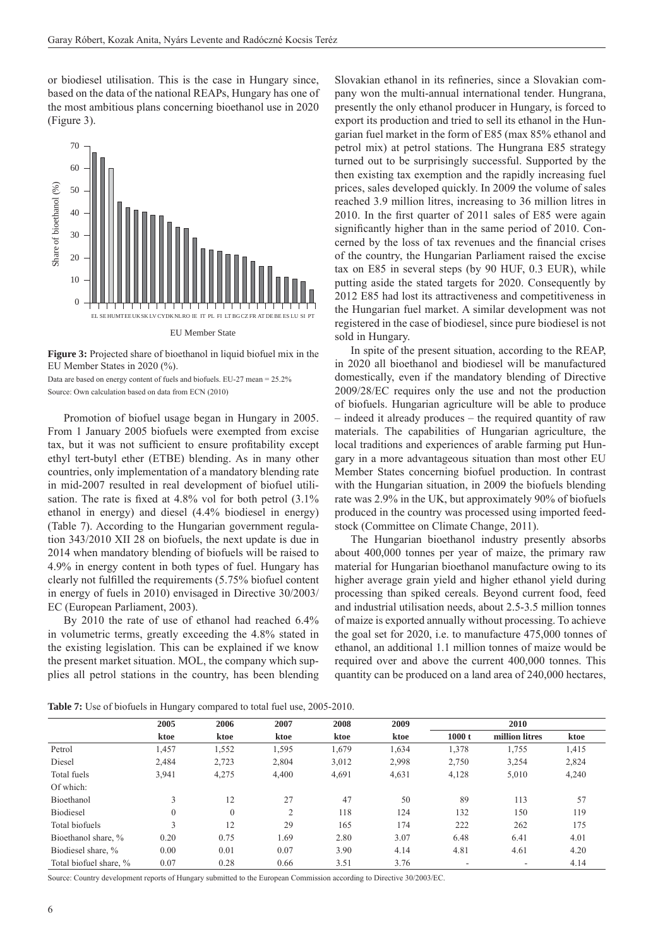or biodiesel utilisation. This is the case in Hungary since, based on the data of the national REAPs, Hungary has one of the most ambitious plans concerning bioethanol use in 2020 (Figure 3).



EU Member State

**Figure 3:** Projected share of bioethanol in liquid biofuel mix in the EU Member States in 2020 (%).

Data are based on energy content of fuels and biofuels. EU-27 mean = 25.2% Source: Own calculation based on data from ECN (2010)

Promotion of biofuel usage began in Hungary in 2005. From 1 January 2005 biofuels were exempted from excise tax, but it was not sufficient to ensure profitability except ethyl tert-butyl ether (ETBE) blending. As in many other countries, only implementation of a mandatory blending rate in mid-2007 resulted in real development of biofuel utilisation. The rate is fixed at  $4.8\%$  vol for both petrol  $(3.1\%$ ethanol in energy) and diesel (4.4% biodiesel in energy) (Table 7). According to the Hungarian government regulation 343/2010 XII 28 on biofuels, the next update is due in 2014 when mandatory blending of biofuels will be raised to 4.9% in energy content in both types of fuel. Hungary has clearly not fulfilled the requirements (5.75% biofuel content in energy of fuels in 2010) envisaged in Directive 30/2003/ EC (European Parliament, 2003).

By 2010 the rate of use of ethanol had reached 6.4% in volumetric terms, greatly exceeding the 4.8% stated in the existing legislation. This can be explained if we know the present market situation. MOL, the company which supplies all petrol stations in the country, has been blending Slovakian ethanol in its refineries, since a Slovakian company won the multi-annual international tender. Hungrana, presently the only ethanol producer in Hungary, is forced to export its production and tried to sell its ethanol in the Hungarian fuel market in the form of E85 (max 85% ethanol and petrol mix) at petrol stations. The Hungrana E85 strategy turned out to be surprisingly successful. Supported by the then existing tax exemption and the rapidly increasing fuel prices, sales developed quickly. In 2009 the volume of sales reached 3.9 million litres, increasing to 36 million litres in  $2010$ . In the first quarter of  $2011$  sales of E85 were again significantly higher than in the same period of 2010. Concerned by the loss of tax revenues and the financial crises of the country, the Hungarian Parliament raised the excise tax on E85 in several steps (by 90 HUF, 0.3 EUR), while putting aside the stated targets for 2020. Consequently by 2012 E85 had lost its attractiveness and competitiveness in the Hungarian fuel market. A similar development was not registered in the case of biodiesel, since pure biodiesel is not sold in Hungary.

In spite of the present situation, according to the REAP, in 2020 all bioethanol and biodiesel will be manufactured domestically, even if the mandatory blending of Directive 2009/28/EC requires only the use and not the production of biofuels. Hungarian agriculture will be able to produce – indeed it already produces – the required quantity of raw materials. The capabilities of Hungarian agriculture, the local traditions and experiences of arable farming put Hungary in a more advantageous situation than most other EU Member States concerning biofuel production. In contrast with the Hungarian situation, in 2009 the biofuels blending rate was 2.9% in the UK, but approximately 90% of biofuels produced in the country was processed using imported feedstock (Committee on Climate Change, 2011).

The Hungarian bioethanol industry presently absorbs about 400,000 tonnes per year of maize, the primary raw material for Hungarian bioethanol manufacture owing to its higher average grain yield and higher ethanol yield during processing than spiked cereals. Beyond current food, feed and industrial utilisation needs, about 2.5-3.5 million tonnes of maize is exported annually without processing. To achieve the goal set for 2020, i.e. to manufacture 475,000 tonnes of ethanol, an additional 1.1 million tonnes of maize would be required over and above the current 400,000 tonnes. This quantity can be produced on a land area of 240,000 hectares,

**Table 7:** Use of biofuels in Hungary compared to total fuel use, 2005-2010.

|                        | 2005     | 2006         | 2007  | 2008  | 2009  |       | 2010           |       |
|------------------------|----------|--------------|-------|-------|-------|-------|----------------|-------|
|                        | ktoe     | ktoe         | ktoe  | ktoe  | ktoe  | 1000t | million litres | ktoe  |
| Petrol                 | 1,457    | 1,552        | 1,595 | 1,679 | 1,634 | 1,378 | 1,755          | 1,415 |
| Diesel                 | 2.484    | 2,723        | 2,804 | 3,012 | 2,998 | 2,750 | 3,254          | 2,824 |
| Total fuels            | 3,941    | 4,275        | 4,400 | 4,691 | 4,631 | 4,128 | 5,010          | 4,240 |
| Of which:              |          |              |       |       |       |       |                |       |
| Bioethanol             | 3        | 12           | 27    | 47    | 50    | 89    | 113            | 57    |
| <b>Biodiesel</b>       | $\theta$ | $\mathbf{0}$ | 2     | 118   | 124   | 132   | 150            | 119   |
| Total biofuels         | 3        | 12           | 29    | 165   | 174   | 222   | 262            | 175   |
| Bioethanol share, %    | 0.20     | 0.75         | 1.69  | 2.80  | 3.07  | 6.48  | 6.41           | 4.01  |
| Biodiesel share, %     | 0.00     | 0.01         | 0.07  | 3.90  | 4.14  | 4.81  | 4.61           | 4.20  |
| Total biofuel share, % | 0.07     | 0.28         | 0.66  | 3.51  | 3.76  |       |                | 4.14  |

Source: Country development reports of Hungary submitted to the European Commission according to Directive 30/2003/EC.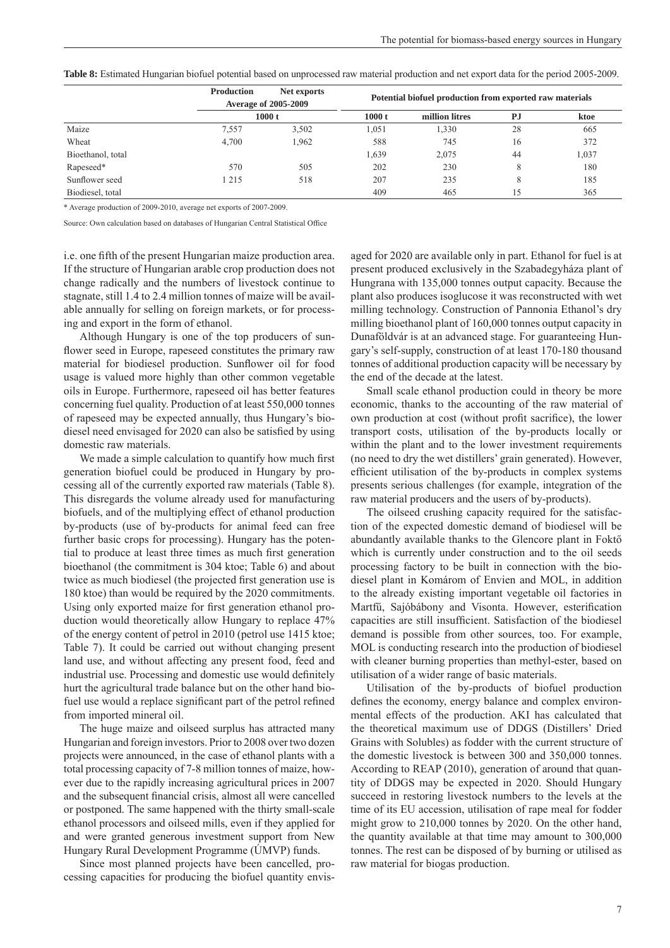|                   | <b>Production</b><br>Net exports<br><b>Average of 2005-2009</b> |        |       | Potential biofuel production from exported raw materials |    |       |
|-------------------|-----------------------------------------------------------------|--------|-------|----------------------------------------------------------|----|-------|
|                   |                                                                 | 1000 t | 1000t | million litres                                           | PJ | ktoe  |
| Maize             | 7,557                                                           | 3,502  | 1,051 | 1,330                                                    | 28 | 665   |
| Wheat             | 4.700                                                           | 1,962  | 588   | 745                                                      | 16 | 372   |
| Bioethanol, total |                                                                 |        | 1,639 | 2,075                                                    | 44 | 1,037 |
| Rapeseed*         | 570                                                             | 505    | 202   | 230                                                      |    | 180   |
| Sunflower seed    | l 215                                                           | 518    | 207   | 235                                                      | 8  | 185   |
| Biodiesel, total  |                                                                 |        | 409   | 465                                                      | 15 | 365   |

**Table 8:** Estimated Hungarian biofuel potential based on unprocessed raw material production and net export data for the period 2005-2009.

\* Average production of 2009-2010, average net exports of 2007-2009.

Source: Own calculation based on databases of Hungarian Central Statistical Office

i.e. one fifth of the present Hungarian maize production area. If the structure of Hungarian arable crop production does not change radically and the numbers of livestock continue to stagnate, still 1.4 to 2.4 million tonnes of maize will be available annually for selling on foreign markets, or for processing and export in the form of ethanol.

Although Hungary is one of the top producers of sunflower seed in Europe, rapeseed constitutes the primary raw material for biodiesel production. Sunflower oil for food usage is valued more highly than other common vegetable oils in Europe. Furthermore, rapeseed oil has better features concerning fuel quality. Production of at least 550,000 tonnes of rapeseed may be expected annually, thus Hungary's biodiesel need envisaged for 2020 can also be satisfied by using domestic raw materials.

We made a simple calculation to quantify how much first generation biofuel could be produced in Hungary by processing all of the currently exported raw materials (Table 8). This disregards the volume already used for manufacturing biofuels, and of the multiplying effect of ethanol production by-products (use of by-products for animal feed can free further basic crops for processing). Hungary has the potential to produce at least three times as much first generation bioethanol (the commitment is 304 ktoe; Table 6) and about twice as much biodiesel (the projected first generation use is 180 ktoe) than would be required by the 2020 commitments. Using only exported maize for first generation ethanol production would theoretically allow Hungary to replace 47% of the energy content of petrol in 2010 (petrol use 1415 ktoe; Table 7). It could be carried out without changing present land use, and without affecting any present food, feed and industrial use. Processing and domestic use would definitely hurt the agricultural trade balance but on the other hand biofuel use would a replace significant part of the petrol refined from imported mineral oil.

The huge maize and oilseed surplus has attracted many Hungarian and foreign investors. Prior to 2008 over two dozen projects were announced, in the case of ethanol plants with a total processing capacity of 7-8 million tonnes of maize, however due to the rapidly increasing agricultural prices in 2007 and the subsequent financial crisis, almost all were cancelled or postponed. The same happened with the thirty small-scale ethanol processors and oilseed mills, even if they applied for and were granted generous investment support from New Hungary Rural Development Programme (ÚMVP) funds.

Since most planned projects have been cancelled, processing capacities for producing the biofuel quantity envisaged for 2020 are available only in part. Ethanol for fuel is at present produced exclusively in the Szabadegyháza plant of Hungrana with 135,000 tonnes output capacity. Because the plant also produces isoglucose it was reconstructed with wet milling technology. Construction of Pannonia Ethanol's dry milling bioethanol plant of 160,000 tonnes output capacity in Dunaföldvár is at an advanced stage. For guaranteeing Hungary's self-supply, construction of at least 170-180 thousand tonnes of additional production capacity will be necessary by the end of the decade at the latest.

Small scale ethanol production could in theory be more economic, thanks to the accounting of the raw material of own production at cost (without profit sacrifice), the lower transport costs, utilisation of the by-products locally or within the plant and to the lower investment requirements (no need to dry the wet distillers' grain generated). However, efficient utilisation of the by-products in complex systems presents serious challenges (for example, integration of the raw material producers and the users of by-products).

The oilseed crushing capacity required for the satisfaction of the expected domestic demand of biodiesel will be abundantly available thanks to the Glencore plant in Foktő which is currently under construction and to the oil seeds processing factory to be built in connection with the biodiesel plant in Komárom of Envien and MOL, in addition to the already existing important vegetable oil factories in Martfű, Sajóbábony and Visonta. However, esterification capacities are still insufficient. Satisfaction of the biodiesel demand is possible from other sources, too. For example, MOL is conducting research into the production of biodiesel with cleaner burning properties than methyl-ester, based on utilisation of a wider range of basic materials.

Utilisation of the by-products of biofuel production defines the economy, energy balance and complex environmental effects of the production. AKI has calculated that the theoretical maximum use of DDGS (Distillers' Dried Grains with Solubles) as fodder with the current structure of the domestic livestock is between 300 and 350,000 tonnes. According to REAP (2010), generation of around that quantity of DDGS may be expected in 2020. Should Hungary succeed in restoring livestock numbers to the levels at the time of its EU accession, utilisation of rape meal for fodder might grow to 210,000 tonnes by 2020. On the other hand, the quantity available at that time may amount to 300,000 tonnes. The rest can be disposed of by burning or utilised as raw material for biogas production.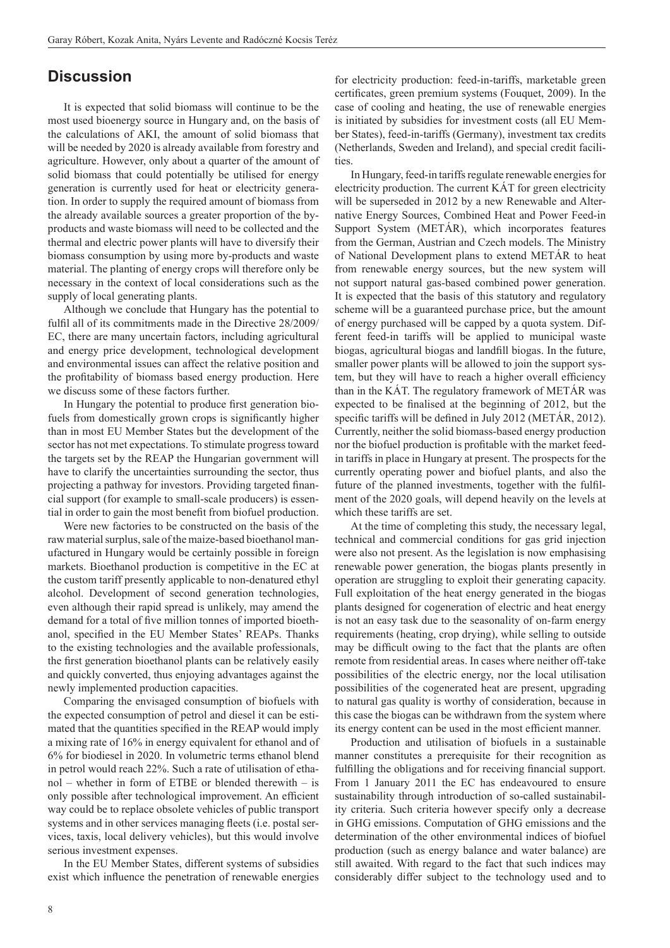### **Discussion**

It is expected that solid biomass will continue to be the most used bioenergy source in Hungary and, on the basis of the calculations of AKI, the amount of solid biomass that will be needed by 2020 is already available from forestry and agriculture. However, only about a quarter of the amount of solid biomass that could potentially be utilised for energy generation is currently used for heat or electricity generation. In order to supply the required amount of biomass from the already available sources a greater proportion of the byproducts and waste biomass will need to be collected and the thermal and electric power plants will have to diversify their biomass consumption by using more by-products and waste material. The planting of energy crops will therefore only be necessary in the context of local considerations such as the supply of local generating plants.

Although we conclude that Hungary has the potential to fulfil all of its commitments made in the Directive 28/2009/ EC, there are many uncertain factors, including agricultural and energy price development, technological development and environmental issues can affect the relative position and the profitability of biomass based energy production. Here we discuss some of these factors further.

In Hungary the potential to produce first generation biofuels from domestically grown crops is significantly higher than in most EU Member States but the development of the sector has not met expectations. To stimulate progress toward the targets set by the REAP the Hungarian government will have to clarify the uncertainties surrounding the sector, thus projecting a pathway for investors. Providing targeted financial support (for example to small-scale producers) is essential in order to gain the most benefit from biofuel production.

Were new factories to be constructed on the basis of the raw material surplus, sale of the maize-based bioethanol manufactured in Hungary would be certainly possible in foreign markets. Bioethanol production is competitive in the EC at the custom tariff presently applicable to non-denatured ethyl alcohol. Development of second generation technologies, even although their rapid spread is unlikely, may amend the demand for a total of five million tonnes of imported bioethanol, specified in the EU Member States' REAPs. Thanks to the existing technologies and the available professionals, the first generation bioethanol plants can be relatively easily and quickly converted, thus enjoying advantages against the newly implemented production capacities.

Comparing the envisaged consumption of biofuels with the expected consumption of petrol and diesel it can be estimated that the quantities specified in the REAP would imply a mixing rate of 16% in energy equivalent for ethanol and of 6% for biodiesel in 2020. In volumetric terms ethanol blend in petrol would reach 22%. Such a rate of utilisation of ethanol – whether in form of ETBE or blended therewith – is only possible after technological improvement. An efficient way could be to replace obsolete vehicles of public transport systems and in other services managing fleets (i.e. postal services, taxis, local delivery vehicles), but this would involve serious investment expenses.

In the EU Member States, different systems of subsidies exist which influence the penetration of renewable energies for electricity production: feed-in-tariffs, marketable green certificates, green premium systems (Fouquet, 2009). In the case of cooling and heating, the use of renewable energies is initiated by subsidies for investment costs (all EU Member States), feed-in-tariffs (Germany), investment tax credits (Netherlands, Sweden and Ireland), and special credit facilities

In Hungary, feed-in tariffs regulate renewable energies for electricity production. The current KÁT for green electricity will be superseded in 2012 by a new Renewable and Alternative Energy Sources, Combined Heat and Power Feed-in Support System (METÁR), which incorporates features from the German, Austrian and Czech models. The Ministry of National Development plans to extend METÁR to heat from renewable energy sources, but the new system will not support natural gas-based combined power generation. It is expected that the basis of this statutory and regulatory scheme will be a guaranteed purchase price, but the amount of energy purchased will be capped by a quota system. Different feed-in tariffs will be applied to municipal waste biogas, agricultural biogas and landfill biogas. In the future, smaller power plants will be allowed to join the support system, but they will have to reach a higher overall efficiency than in the KÁT. The regulatory framework of METÁR was expected to be finalised at the beginning of 2012, but the specific tariffs will be defined in July 2012 (METÁR, 2012). Currently, neither the solid biomass-based energy production nor the biofuel production is profitable with the market feedin tariffs in place in Hungary at present. The prospects for the currently operating power and biofuel plants, and also the future of the planned investments, together with the fulfilment of the 2020 goals, will depend heavily on the levels at which these tariffs are set.

At the time of completing this study, the necessary legal, technical and commercial conditions for gas grid injection were also not present. As the legislation is now emphasising renewable power generation, the biogas plants presently in operation are struggling to exploit their generating capacity. Full exploitation of the heat energy generated in the biogas plants designed for cogeneration of electric and heat energy is not an easy task due to the seasonality of on-farm energy requirements (heating, crop drying), while selling to outside may be difficult owing to the fact that the plants are often remote from residential areas. In cases where neither off-take possibilities of the electric energy, nor the local utilisation possibilities of the cogenerated heat are present, upgrading to natural gas quality is worthy of consideration, because in this case the biogas can be withdrawn from the system where its energy content can be used in the most efficient manner.

Production and utilisation of biofuels in a sustainable manner constitutes a prerequisite for their recognition as fulfilling the obligations and for receiving financial support. From 1 January 2011 the EC has endeavoured to ensure sustainability through introduction of so-called sustainability criteria. Such criteria however specify only a decrease in GHG emissions. Computation of GHG emissions and the determination of the other environmental indices of biofuel production (such as energy balance and water balance) are still awaited. With regard to the fact that such indices may considerably differ subject to the technology used and to